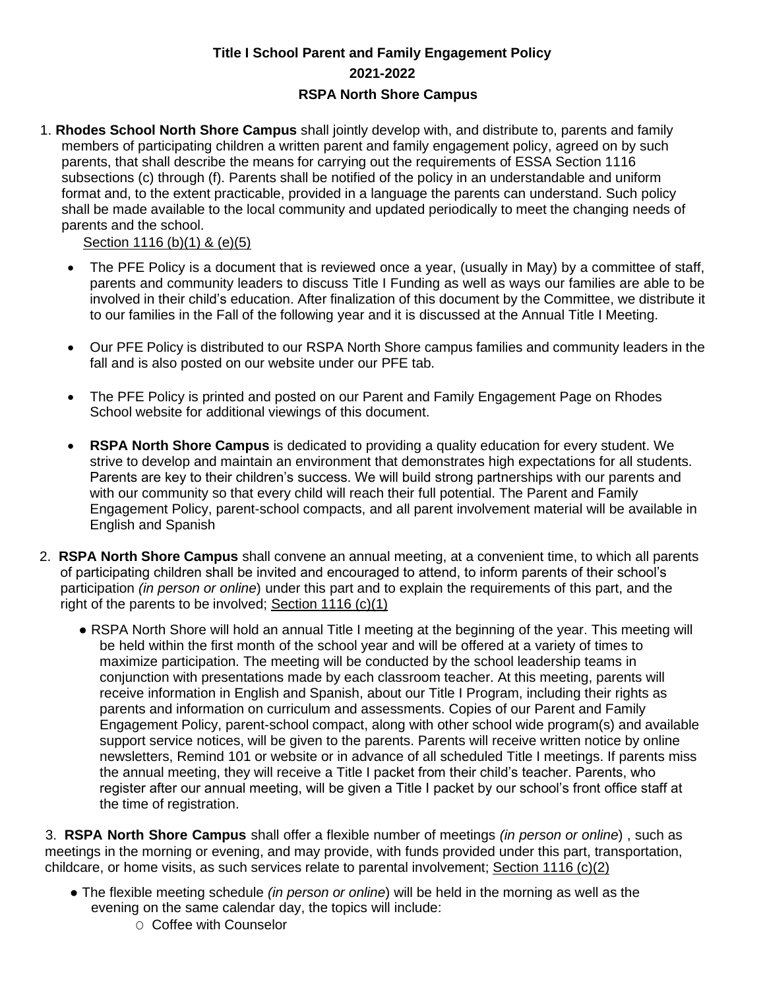## **Title I School Parent and Family Engagement Policy 2021-2022 RSPA North Shore Campus**

1. **Rhodes School North Shore Campus** shall jointly develop with, and distribute to, parents and family members of participating children a written parent and family engagement policy, agreed on by such parents, that shall describe the means for carrying out the requirements of ESSA Section 1116 subsections (c) through (f). Parents shall be notified of the policy in an understandable and uniform format and, to the extent practicable, provided in a language the parents can understand. Such policy shall be made available to the local community and updated periodically to meet the changing needs of parents and the school.

Section 1116 (b)(1) & (e)(5)

- The PFE Policy is a document that is reviewed once a year, (usually in May) by a committee of staff, parents and community leaders to discuss Title I Funding as well as ways our families are able to be involved in their child's education. After finalization of this document by the Committee, we distribute it to our families in the Fall of the following year and it is discussed at the Annual Title I Meeting.
- Our PFE Policy is distributed to our RSPA North Shore campus families and community leaders in the fall and is also posted on our website under our PFE tab.
- The PFE Policy is printed and posted on our Parent and Family Engagement Page on Rhodes School website for additional viewings of this document.
- **RSPA North Shore Campus** is dedicated to providing a quality education for every student. We strive to develop and maintain an environment that demonstrates high expectations for all students. Parents are key to their children's success. We will build strong partnerships with our parents and with our community so that every child will reach their full potential. The Parent and Family Engagement Policy, parent-school compacts, and all parent involvement material will be available in English and Spanish
- 2. **RSPA North Shore Campus** shall convene an annual meeting, at a convenient time, to which all parents of participating children shall be invited and encouraged to attend, to inform parents of their school's participation *(in person or online*) under this part and to explain the requirements of this part, and the right of the parents to be involved; Section 1116 (c)(1)
	- RSPA North Shore will hold an annual Title I meeting at the beginning of the year. This meeting will be held within the first month of the school year and will be offered at a variety of times to maximize participation. The meeting will be conducted by the school leadership teams in conjunction with presentations made by each classroom teacher. At this meeting, parents will receive information in English and Spanish, about our Title I Program, including their rights as parents and information on curriculum and assessments. Copies of our Parent and Family Engagement Policy, parent-school compact, along with other school wide program(s) and available support service notices, will be given to the parents. Parents will receive written notice by online newsletters, Remind 101 or website or in advance of all scheduled Title I meetings. If parents miss the annual meeting, they will receive a Title I packet from their child's teacher. Parents, who register after our annual meeting, will be given a Title I packet by our school's front office staff at the time of registration.

3. **RSPA North Shore Campus** shall offer a flexible number of meetings *(in person or online*) , such as meetings in the morning or evening, and may provide, with funds provided under this part, transportation, childcare, or home visits, as such services relate to parental involvement; Section 1116 (c)(2)

- The flexible meeting schedule *(in person or online*) will be held in the morning as well as the evening on the same calendar day, the topics will include:
	- O Coffee with Counselor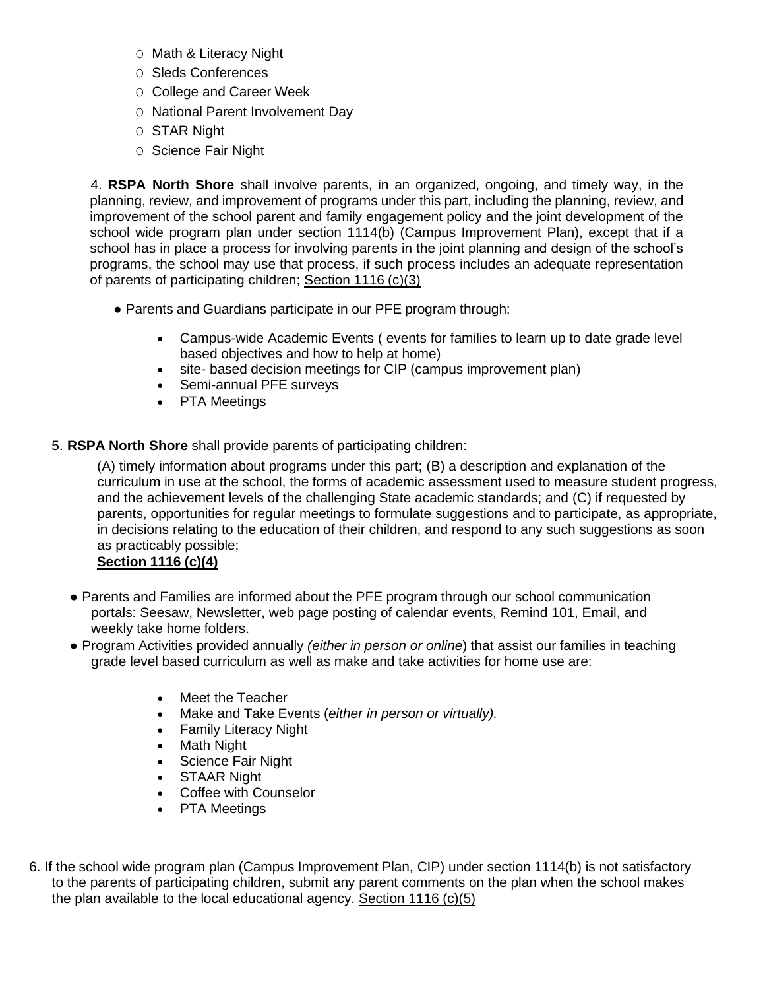- O Math & Literacy Night
- O Sleds Conferences
- O College and Career Week
- O National Parent Involvement Day
- O STAR Night
- O Science Fair Night

4. **RSPA North Shore** shall involve parents, in an organized, ongoing, and timely way, in the planning, review, and improvement of programs under this part, including the planning, review, and improvement of the school parent and family engagement policy and the joint development of the school wide program plan under section 1114(b) (Campus Improvement Plan), except that if a school has in place a process for involving parents in the joint planning and design of the school's programs, the school may use that process, if such process includes an adequate representation of parents of participating children; Section 1116 (c)(3)

- Parents and Guardians participate in our PFE program through:
	- Campus-wide Academic Events ( events for families to learn up to date grade level based objectives and how to help at home)
	- site- based decision meetings for CIP (campus improvement plan)
	- Semi-annual PFE surveys
	- PTA Meetings
- 5. **RSPA North Shore** shall provide parents of participating children:

(A) timely information about programs under this part; (B) a description and explanation of the curriculum in use at the school, the forms of academic assessment used to measure student progress, and the achievement levels of the challenging State academic standards; and (C) if requested by parents, opportunities for regular meetings to formulate suggestions and to participate, as appropriate, in decisions relating to the education of their children, and respond to any such suggestions as soon as practicably possible;

## **Section 1116 (c)(4)**

- **●** Parents and Families are informed about the PFE program through our school communication portals: Seesaw, Newsletter, web page posting of calendar events, Remind 101, Email, and weekly take home folders.
- Program Activities provided annually *(either in person or online*) that assist our families in teaching grade level based curriculum as well as make and take activities for home use are:
	- Meet the Teacher
	- Make and Take Events (*either in person or virtually).*
	- Family Literacy Night
	- Math Night
	- Science Fair Night
	- STAAR Night
	- Coffee with Counselor
	- PTA Meetings
- 6. If the school wide program plan (Campus Improvement Plan, CIP) under section 1114(b) is not satisfactory to the parents of participating children, submit any parent comments on the plan when the school makes the plan available to the local educational agency. Section 1116 (c)(5)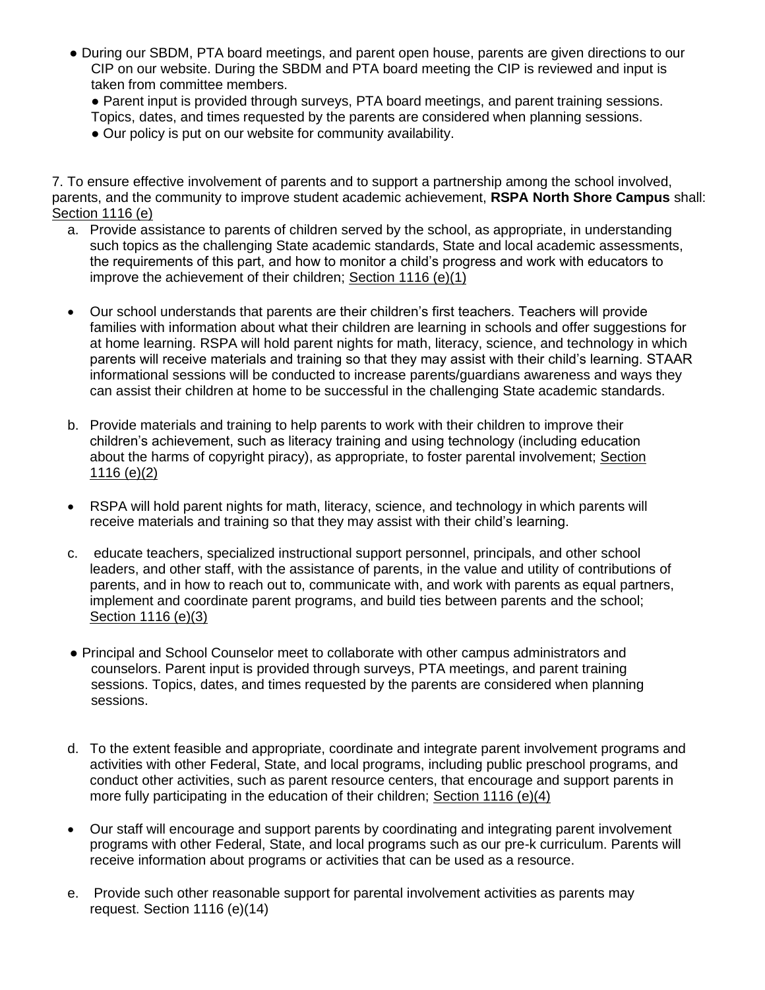- **●** During our SBDM, PTA board meetings, and parent open house, parents are given directions to our CIP on our website. During the SBDM and PTA board meeting the CIP is reviewed and input is taken from committee members.
	- Parent input is provided through surveys, PTA board meetings, and parent training sessions. Topics, dates, and times requested by the parents are considered when planning sessions.
	- Our policy is put on our website for community availability.

7. To ensure effective involvement of parents and to support a partnership among the school involved, parents, and the community to improve student academic achievement, **RSPA North Shore Campus** shall: Section 1116 (e)

- a. Provide assistance to parents of children served by the school, as appropriate, in understanding such topics as the challenging State academic standards, State and local academic assessments, the requirements of this part, and how to monitor a child's progress and work with educators to improve the achievement of their children; Section 1116 (e)(1)
- Our school understands that parents are their children's first teachers. Teachers will provide families with information about what their children are learning in schools and offer suggestions for at home learning. RSPA will hold parent nights for math, literacy, science, and technology in which parents will receive materials and training so that they may assist with their child's learning. STAAR informational sessions will be conducted to increase parents/guardians awareness and ways they can assist their children at home to be successful in the challenging State academic standards.
- b. Provide materials and training to help parents to work with their children to improve their children's achievement, such as literacy training and using technology (including education about the harms of copyright piracy), as appropriate, to foster parental involvement; Section 1116 (e)(2)
- RSPA will hold parent nights for math, literacy, science, and technology in which parents will receive materials and training so that they may assist with their child's learning.
- c. educate teachers, specialized instructional support personnel, principals, and other school leaders, and other staff, with the assistance of parents, in the value and utility of contributions of parents, and in how to reach out to, communicate with, and work with parents as equal partners, implement and coordinate parent programs, and build ties between parents and the school; Section 1116 (e)(3)
- **●** Principal and School Counselor meet to collaborate with other campus administrators and counselors. Parent input is provided through surveys, PTA meetings, and parent training sessions. Topics, dates, and times requested by the parents are considered when planning sessions.
- d. To the extent feasible and appropriate, coordinate and integrate parent involvement programs and activities with other Federal, State, and local programs, including public preschool programs, and conduct other activities, such as parent resource centers, that encourage and support parents in more fully participating in the education of their children; Section 1116 (e)(4)
- Our staff will encourage and support parents by coordinating and integrating parent involvement programs with other Federal, State, and local programs such as our pre-k curriculum. Parents will receive information about programs or activities that can be used as a resource.
- e. Provide such other reasonable support for parental involvement activities as parents may request. Section 1116 (e)(14)